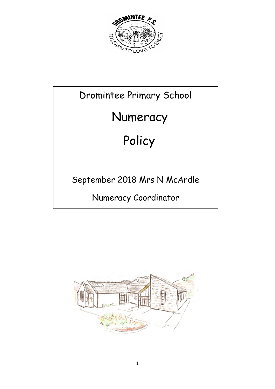

# Dromintee Primary School

# Numeracy

# Policy

# September 2018 Mrs N McArdle

Numeracy Coordinator

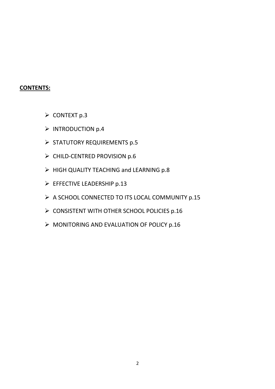#### **CONTENTS:**

- $\triangleright$  CONTEXT p.3
- $\triangleright$  INTRODUCTION p.4
- $\triangleright$  STATUTORY REQUIREMENTS p.5
- $\triangleright$  CHILD-CENTRED PROVISION p.6
- $\triangleright$  HIGH QUALITY TEACHING and LEARNING p.8
- EFFECTIVE LEADERSHIP p.13
- $\triangleright$  A SCHOOL CONNECTED TO ITS LOCAL COMMUNITY p.15
- $\triangleright$  CONSISTENT WITH OTHER SCHOOL POLICIES p.16
- $\triangleright$  MONITORING AND EVALUATION OF POLICY p.16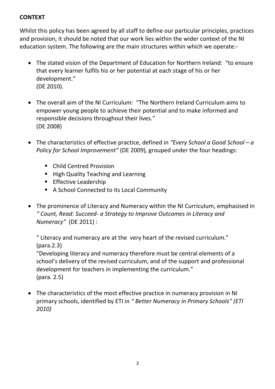# **CONTEXT**

Whilst this policy has been agreed by all staff to define our particular principles, practices and provision, it should be noted that our work lies within the wider context of the NI education system. The following are the main structures within which we operate:-

- The stated vision of the Department of Education for Northern Ireland: "to ensure that every learner fulfils his or her potential at each stage of his or her development." (DE 2010).
- The overall aim of the NI Curriculum: "The Northern Ireland Curriculum aims to empower young people to achieve their potential and to make informed and responsible decisions throughout their lives." (DE 2008)
- The characteristics of effective practice, defined in *"Every School a Good School – a Policy for School Improvement"* (DE 2009), grouped under the four headings:
	- Child Centred Provision
	- High Quality Teaching and Learning
	- **Effective Leadership**
	- A School Connected to its Local Community
- The prominence of Literacy and Numeracy within the NI Curriculum, emphasised in *" Count, Read: Succeed- a Strategy to Improve Outcomes in Literacy and Numeracy"* (DE 2011) :

" Literacy and numeracy are at the very heart of the revised curriculum." (para.2.3)

"Developing literacy and numeracy therefore must be central elements of a school's delivery of the revised curriculum, and of the support and professional development for teachers in implementing the curriculum." (para. 2.5)

 The characteristics of the most effective practice in numeracy provision in NI primary schools, identified by ETI in *" Better Numeracy in Primary Schools" (ETI 2010)*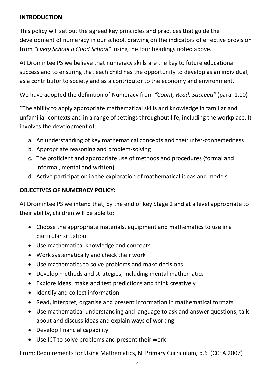### **INTRODUCTION**

This policy will set out the agreed key principles and practices that guide the development of numeracy in our school, drawing on the indicators of effective provision from *"Every School a Good School"* using the four headings noted above.

At Dromintee PS we believe that numeracy skills are the key to future educational success and to ensuring that each child has the opportunity to develop as an individual, as a contributor to society and as a contributor to the economy and environment.

We have adopted the definition of Numeracy from *"Count, Read: Succeed"* (para. 1.10) :

"The ability to apply appropriate mathematical skills and knowledge in familiar and unfamiliar contexts and in a range of settings throughout life, including the workplace. It involves the development of:

- a. An understanding of key mathematical concepts and their inter-connectedness
- b. Appropriate reasoning and problem-solving
- c. The proficient and appropriate use of methods and procedures (formal and informal, mental and written)
- d. Active participation in the exploration of mathematical ideas and models

#### **OBJECTIVES OF NUMERACY POLICY:**

At Dromintee PS we intend that, by the end of Key Stage 2 and at a level appropriate to their ability, children will be able to:

- Choose the appropriate materials, equipment and mathematics to use in a particular situation
- Use mathematical knowledge and concepts
- Work systematically and check their work
- Use mathematics to solve problems and make decisions
- Develop methods and strategies, including mental mathematics
- Explore ideas, make and test predictions and think creatively
- Identify and collect information
- Read, interpret, organise and present information in mathematical formats
- Use mathematical understanding and language to ask and answer questions, talk about and discuss ideas and explain ways of working
- Develop financial capability
- Use ICT to solve problems and present their work

From: Requirements for Using Mathematics, NI Primary Curriculum, p.6 (CCEA 2007)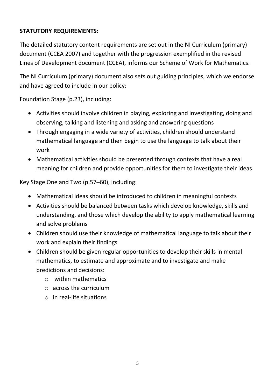# **STATUTORY REQUIREMENTS:**

The detailed statutory content requirements are set out in the NI Curriculum (primary) document (CCEA 2007) and together with the progression exemplified in the revised Lines of Development document (CCEA), informs our Scheme of Work for Mathematics.

The NI Curriculum (primary) document also sets out guiding principles, which we endorse and have agreed to include in our policy:

Foundation Stage (p.23), including:

- Activities should involve children in playing, exploring and investigating, doing and observing, talking and listening and asking and answering questions
- Through engaging in a wide variety of activities, children should understand mathematical language and then begin to use the language to talk about their work
- Mathematical activities should be presented through contexts that have a real meaning for children and provide opportunities for them to investigate their ideas

Key Stage One and Two (p.57–60), including:

- Mathematical ideas should be introduced to children in meaningful contexts
- Activities should be balanced between tasks which develop knowledge, skills and understanding, and those which develop the ability to apply mathematical learning and solve problems
- Children should use their knowledge of mathematical language to talk about their work and explain their findings
- Children should be given regular opportunities to develop their skills in mental mathematics, to estimate and approximate and to investigate and make predictions and decisions:
	- $\circ$  within mathematics
	- o across the curriculum
	- o in real-life situations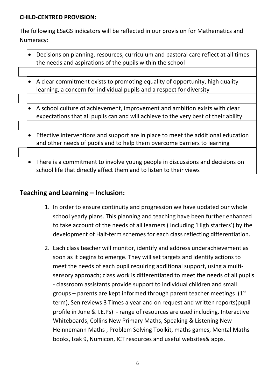#### **CHILD-CENTRED PROVISION:**

The following ESaGS indicators will be reflected in our provision for Mathematics and Numeracy:

- Decisions on planning, resources, curriculum and pastoral care reflect at all times the needs and aspirations of the pupils within the school
- A clear commitment exists to promoting equality of opportunity, high quality learning, a concern for individual pupils and a respect for diversity
- A school culture of achievement, improvement and ambition exists with clear expectations that all pupils can and will achieve to the very best of their ability
- Effective interventions and support are in place to meet the additional education and other needs of pupils and to help them overcome barriers to learning
- There is a commitment to involve young people in discussions and decisions on school life that directly affect them and to listen to their views

# **Teaching and Learning – Inclusion:**

- 1. In order to ensure continuity and progression we have updated our whole school yearly plans. This planning and teaching have been further enhanced to take account of the needs of all learners ( including 'High starters') by the development of Half-term schemes for each class reflecting differentiation.
- 2. Each class teacher will monitor, identify and address underachievement as soon as it begins to emerge. They will set targets and identify actions to meet the needs of each pupil requiring additional support, using a multisensory approach; class work is differentiated to meet the needs of all pupils - classroom assistants provide support to individual children and small groups – parents are kept informed through parent teacher meetings  $(1<sup>st</sup>$ term), Sen reviews 3 Times a year and on request and written reports(pupil profile in June & I.E.Ps) - range of resources are used including. Interactive Whiteboards, Collins New Primary Maths, Speaking & Listening New Heinnemann Maths , Problem Solving Toolkit, maths games, Mental Maths books, Izak 9, Numicon, ICT resources and useful websites& apps.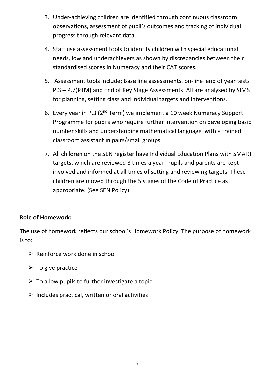- 3. Under-achieving children are identified through continuous classroom observations, assessment of pupil's outcomes and tracking of individual progress through relevant data.
- 4. Staff use assessment tools to identify children with special educational needs, low and underachievers as shown by discrepancies between their standardised scores in Numeracy and their CAT scores.
- 5. Assessment tools include; Base line assessments, on-line end of year tests P.3 – P.7(PTM) and End of Key Stage Assessments. All are analysed by SIMS for planning, setting class and individual targets and interventions.
- 6. Every year in P.3 (2nd Term) we implement a 10 week Numeracy Support Programme for pupils who require further intervention on developing basic number skills and understanding mathematical language with a trained classroom assistant in pairs/small groups.
- 7. All children on the SEN register have Individual Education Plans with SMART targets, which are reviewed 3 times a year. Pupils and parents are kept involved and informed at all times of setting and reviewing targets. These children are moved through the 5 stages of the Code of Practice as appropriate. (See SEN Policy).

## **Role of Homework:**

The use of homework reflects our school's Homework Policy. The purpose of homework is to:

- $\triangleright$  Reinforce work done in school
- $\triangleright$  To give practice
- $\triangleright$  To allow pupils to further investigate a topic
- $\triangleright$  Includes practical, written or oral activities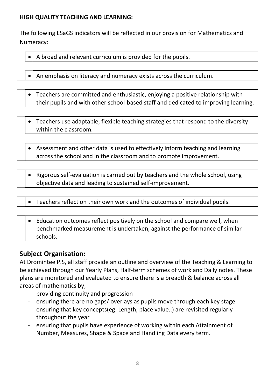## **HIGH QUALITY TEACHING AND LEARNING:**

The following ESaGS indicators will be reflected in our provision for Mathematics and Numeracy:

| A broad and relevant curriculum is provided for the pupils.                                                                                                                        |
|------------------------------------------------------------------------------------------------------------------------------------------------------------------------------------|
|                                                                                                                                                                                    |
| An emphasis on literacy and numeracy exists across the curriculum.<br>$\bullet$                                                                                                    |
|                                                                                                                                                                                    |
| Teachers are committed and enthusiastic, enjoying a positive relationship with<br>$\bullet$<br>their pupils and with other school-based staff and dedicated to improving learning. |
|                                                                                                                                                                                    |
| Teachers use adaptable, flexible teaching strategies that respond to the diversity<br>$\bullet$<br>within the classroom.                                                           |
|                                                                                                                                                                                    |
| Assessment and other data is used to effectively inform teaching and learning<br>$\bullet$<br>across the school and in the classroom and to promote improvement.                   |
|                                                                                                                                                                                    |
| Rigorous self-evaluation is carried out by teachers and the whole school, using<br>$\bullet$<br>objective data and leading to sustained self-improvement.                          |
|                                                                                                                                                                                    |
| Teachers reflect on their own work and the outcomes of individual pupils.<br>$\bullet$                                                                                             |
|                                                                                                                                                                                    |
| Education outcomes reflect positively on the school and compare well, when<br>$\bullet$<br>benchmarked measurement is undertaken, against the performance of similar<br>schools.   |

# **Subject Organisation:**

At Dromintee P.S, all staff provide an outline and overview of the Teaching & Learning to be achieved through our Yearly Plans, Half-term schemes of work and Daily notes. These plans are monitored and evaluated to ensure there is a breadth & balance across all areas of mathematics by;

- providing continuity and progression
- ensuring there are no gaps/ overlays as pupils move through each key stage
- ensuring that key concepts(eg. Length, place value..) are revisited regularly throughout the year
- ensuring that pupils have experience of working within each Attainment of Number, Measures, Shape & Space and Handling Data every term.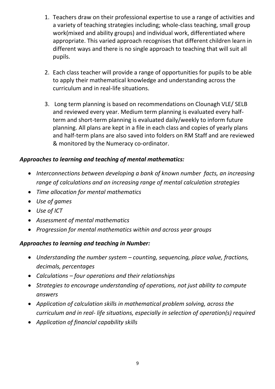- 1. Teachers draw on their professional expertise to use a range of activities and a variety of teaching strategies including; whole-class teaching, small group work(mixed and ability groups) and individual work, differentiated where appropriate. This varied approach recognises that different children learn in different ways and there is no single approach to teaching that will suit all pupils.
- 2. Each class teacher will provide a range of opportunities for pupils to be able to apply their mathematical knowledge and understanding across the curriculum and in real-life situations.
- 3. Long term planning is based on recommendations on Clounagh VLE/ SELB and reviewed every year. Medium term planning is evaluated every halfterm and short-term planning is evaluated daily/weekly to inform future planning. All plans are kept in a file in each class and copies of yearly plans and half-term plans are also saved into folders on RM Staff and are reviewed & monitored by the Numeracy co-ordinator.

# *Approaches to learning and teaching of mental mathematics:*

- *Interconnections between developing a bank of known number facts, an increasing range of calculations and an increasing range of mental calculation strategies*
- *Time allocation for mental mathematics*
- *Use of games*
- *Use of ICT*
- *Assessment of mental mathematics*
- *Progression for mental mathematics within and across year groups*

# *Approaches to learning and teaching in Number:*

- *Understanding the number system – counting, sequencing, place value, fractions, decimals, percentages*
- *Calculations – four operations and their relationships*
- *Strategies to encourage understanding of operations, not just ability to compute answers*
- *Application of calculation skills in mathematical problem solving, across the curriculum and in real- life situations, especially in selection of operation(s) required*
- *Application of financial capability skills*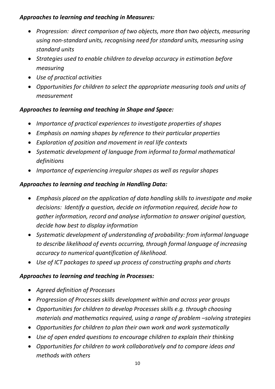# *Approaches to learning and teaching in Measures:*

- *Progression: direct comparison of two objects, more than two objects, measuring using non-standard units, recognising need for standard units, measuring using standard units*
- *Strategies used to enable children to develop accuracy in estimation before measuring*
- *Use of practical activities*
- *Opportunities for children to select the appropriate measuring tools and units of measurement*

# *Approaches to learning and teaching in Shape and Space:*

- *Importance of practical experiences to investigate properties of shapes*
- *Emphasis on naming shapes by reference to their particular properties*
- *Exploration of position and movement in real life contexts*
- *Systematic development of language from informal to formal mathematical definitions*
- *Importance of experiencing irregular shapes as well as regular shapes*

# *Approaches to learning and teaching in Handling Data:*

- *Emphasis placed on the application of data handling skills to investigate and make decisions: Identify a question, decide on information required, decide how to gather information, record and analyse information to answer original question, decide how best to display information*
- *Systematic development of understanding of probability: from informal language to describe likelihood of events occurring, through formal language of increasing accuracy to numerical quantification of likelihood.*
- *Use of ICT packages to speed up process of constructing graphs and charts*

# *Approaches to learning and teaching in Processes:*

- *Agreed definition of Processes*
- *Progression of Processes skills development within and across year groups*
- *Opportunities for children to develop Processes skills e.g. through choosing materials and mathematics required, using a range of problem –solving strategies*
- *Opportunities for children to plan their own work and work systematically*
- *Use of open ended questions to encourage children to explain their thinking*
- *Opportunities for children to work collaboratively and to compare ideas and methods with others*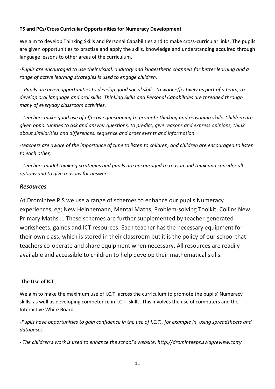#### **TS and PCs/Cross Curricular Opportunities for Numeracy Development**

We aim to develop Thinking Skills and Personal Capabilities and to make cross-curricular links. The pupils are given opportunities to practise and apply the skills, knowledge and understanding acquired through language lessons to other areas of the curriculum.

*-Pupils are encouraged to use their visual, auditory and kinaesthetic channels for better learning and a range of active learning strategies is used to engage children.* 

*- Pupils are given opportunities to develop good social skills, to work effectively as part of a team, to develop oral language and oral skills. Thinking Skills and Personal Capabilities are threaded through many of everyday classroom activities.*

*- Teachers make good use of effective questioning to promote thinking and reasoning skills. Children are given opportunities to ask and answer questions, to predict, give reasons and express opinions, think about similarities and differences, sequence and order events and information*

*-teachers are aware of the importance of time to listen to children, and children are encouraged to listen to each other,*

*- Teachers model thinking strategies and pupils are encouraged to reason and think and consider all options and to give reasons for answers.*

#### *Resources*

At Dromintee P.S we use a range of schemes to enhance our pupils Numeracy experiences, eg; New Heinnemann, Mental Maths, Problem-solving Toolkit, Collins New Primary Maths…. These schemes are further supplemented by teacher-generated worksheets, games and ICT resources. Each teacher has the necessary equipment for their own class, which is stored in their classroom but it is the policy of our school that teachers co-operate and share equipment when necessary. All resources are readily available and accessible to children to help develop their mathematical skills.

#### **The Use of ICT**

We aim to make the maximum use of I.C.T. across the curriculum to promote the pupils' Numeracy skills, as well as developing competence in I.C.T. skills. This involves the use of computers and the Interactive White Board.

*-Pupils have opportunities to gain confidence in the use of I.C.T., for example in, using spreadsheets and databases*

*- The children's work is used to enhance the school's website. http://drominteeps.swdpreview.com/*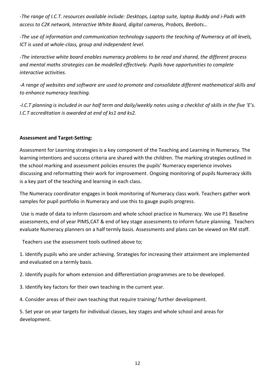*-The range of I.C.T. resources available include: Desktops, Laptop suite, laptop Buddy and i-Pads with access to C2K network, Interactive White Board, digital cameras, Probots, Beebots…*

-*The use of information and communication technology supports the teaching of Numeracy at all levels, ICT is used at whole-class, group and independent level.*

*-The interactive white board enables numeracy problems to be read and shared, the different process and mental maths strategies can be modelled effectively. Pupils have opportunities to complete interactive activities.*

*-A range of websites and software are used to promote and consolidate different mathematical skills and to enhance numeracy teaching.* 

*-I.C.T planning is included in our half term and daily/weekly notes using a checklist of skills in the five 'E's. I.C.T accreditation is awarded at end of ks1 and ks2.* 

#### **Assessment and Target-Setting:**

Assessment for Learning strategies is a key component of the Teaching and Learning in Numeracy. The learning intentions and success criteria are shared with the children. The marking strategies outlined in the school marking and assessment policies ensures the pupils' Numeracy experience involves discussing and reformatting their work for improvement. Ongoing monitoring of pupils Numeracy skills is a key part of the teaching and learning in each class.

The Numeracy coordinator engages in book monitoring of Numeracy class work. Teachers gather work samples for pupil portfolio in Numeracy and use this to gauge pupils progress.

Use is made of data to inform classroom and whole school practice in Numeracy. We use P1 Baseline assessments, end of year PIMS,CAT & end of key stage assessments to inform future planning. Teachers evaluate Numeracy planners on a half termly basis. Assessments and plans can be viewed on RM staff.

Teachers use the assessment tools outlined above to;

1. Identify pupils who are under achieving. Strategies for increasing their attainment are implemented and evaluated on a termly basis.

2. Identify pupils for whom extension and differentiation programmes are to be developed.

3. Identify key factors for their own teaching in the current year.

4. Consider areas of their own teaching that require training/ further development.

5. Set year on year targets for individual classes, key stages and whole school and areas for development.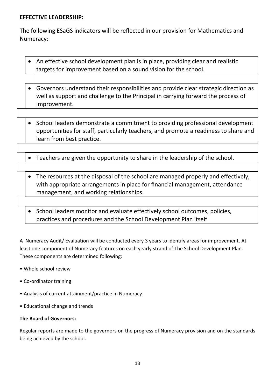#### **EFFECTIVE LEADERSHIP:**

The following ESaGS indicators will be reflected in our provision for Mathematics and Numeracy:

- An effective school development plan is in place, providing clear and realistic targets for improvement based on a sound vision for the school.
- Governors understand their responsibilities and provide clear strategic direction as well as support and challenge to the Principal in carrying forward the process of improvement.
- School leaders demonstrate a commitment to providing professional development opportunities for staff, particularly teachers, and promote a readiness to share and learn from best practice.
- Teachers are given the opportunity to share in the leadership of the school.
- The resources at the disposal of the school are managed properly and effectively, with appropriate arrangements in place for financial management, attendance management, and working relationships.
- School leaders monitor and evaluate effectively school outcomes, policies, practices and procedures and the School Development Plan itself

A Numeracy Audit/ Evaluation will be conducted every 3 years to identify areas for improvement. At least one component of Numeracy features on each yearly strand of The School Development Plan. These components are determined following:

- Whole school review
- Co-ordinator training
- Analysis of current attainment/practice in Numeracy
- Educational change and trends

#### **The Board of Governors:**

Regular reports are made to the governors on the progress of Numeracy provision and on the standards being achieved by the school.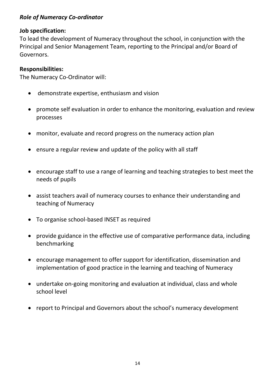#### *Role of Numeracy Co-ordinator*

#### **Job specification:**

To lead the development of Numeracy throughout the school, in conjunction with the Principal and Senior Management Team, reporting to the Principal and/or Board of Governors.

#### **Responsibilities:**

The Numeracy Co-Ordinator will:

- demonstrate expertise, enthusiasm and vision
- promote self evaluation in order to enhance the monitoring, evaluation and review processes
- monitor, evaluate and record progress on the numeracy action plan
- ensure a regular review and update of the policy with all staff
- encourage staff to use a range of learning and teaching strategies to best meet the needs of pupils
- assist teachers avail of numeracy courses to enhance their understanding and teaching of Numeracy
- To organise school-based INSET as required
- provide guidance in the effective use of comparative performance data, including benchmarking
- encourage management to offer support for identification, dissemination and implementation of good practice in the learning and teaching of Numeracy
- undertake on-going monitoring and evaluation at individual, class and whole school level
- report to Principal and Governors about the school's numeracy development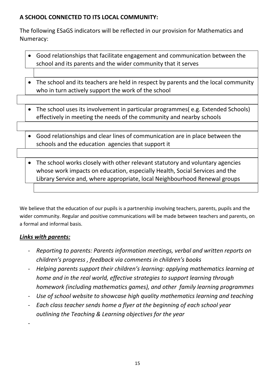# **A SCHOOL CONNECTED TO ITS LOCAL COMMUNITY:**

The following ESaGS indicators will be reflected in our provision for Mathematics and Numeracy:

- Good relationships that facilitate engagement and communication between the school and its parents and the wider community that it serves
- The school and its teachers are held in respect by parents and the local community who in turn actively support the work of the school
- The school uses its involvement in particular programmes( e.g. Extended Schools) effectively in meeting the needs of the community and nearby schools
- Good relationships and clear lines of communication are in place between the schools and the education agencies that support it
- The school works closely with other relevant statutory and voluntary agencies whose work impacts on education, especially Health, Social Services and the Library Service and, where appropriate, local Neighbourhood Renewal groups

We believe that the education of our pupils is a partnership involving teachers, parents, pupils and the wider community. Regular and positive communications will be made between teachers and parents, on a formal and informal basis.

## *Links with parents:*

-

- *Reporting to parents: Parents information meetings, verbal and written reports on children's progress , feedback via comments in children's books*
- *Helping parents support their children's learning: applying mathematics learning at home and in the real world, effective strategies to support learning through homework (including mathematics games), and other family learning programmes*
- *Use of school website to showcase high quality mathematics learning and teaching*
- *Each class teacher sends home a flyer at the beginning of each school year outlining the Teaching & Learning objectives for the year*

15